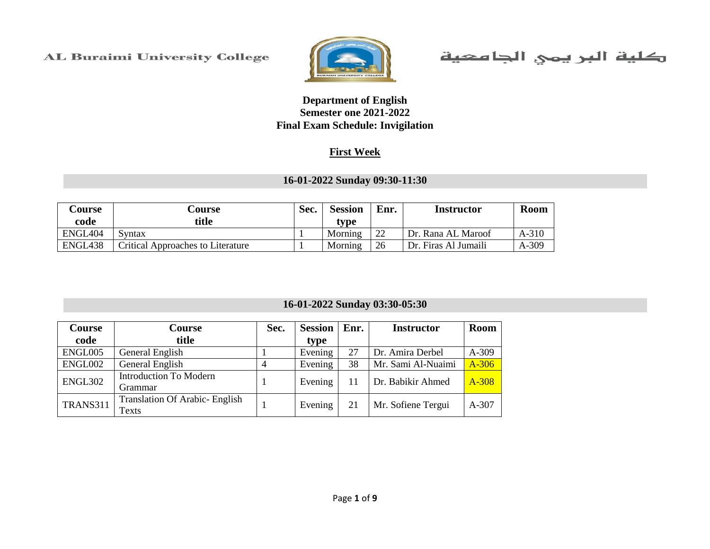

كلية البريمي الجامعية

#### **Department of English Semester one 2021-2022 Final Exam Schedule: Invigilation**

#### **First Week**

#### **16-01-2022 Sunday 09:30-11:30**

| <b>Course</b><br>code | Course<br>title                          | Sec. | <b>Session</b><br>tvpe | Enr. | <b>Instructor</b>    | <b>Room</b> |
|-----------------------|------------------------------------------|------|------------------------|------|----------------------|-------------|
| ENGL404               | Syntax                                   |      | Morning                | 22   | Dr. Rana AL Maroof   | $A-310$     |
| ENGL438               | <b>Critical Approaches to Literature</b> |      | Morning                | 26   | Dr. Firas Al Jumaili | $A-309$     |

#### **16-01-2022 Sunday 03:30-05:30**

| <b>Course</b>  | <b>Course</b>                                 | Sec. | <b>Session</b> | Enr. | <b>Instructor</b>  | <b>Room</b> |
|----------------|-----------------------------------------------|------|----------------|------|--------------------|-------------|
| code           | title                                         |      | type           |      |                    |             |
| ENGL005        | General English                               |      | Evening        | 27   | Dr. Amira Derbel   | A-309       |
| ENGL002        | General English                               |      | Evening        | 38   | Mr. Sami Al-Nuaimi | $A-306$     |
| <b>ENGL302</b> | <b>Introduction To Modern</b><br>Grammar      |      | Evening        |      | Dr. Babikir Ahmed  | A-308       |
| TRANS311       | <b>Translation Of Arabic-English</b><br>Texts |      | Evening        | 21   | Mr. Sofiene Tergui | $A-307$     |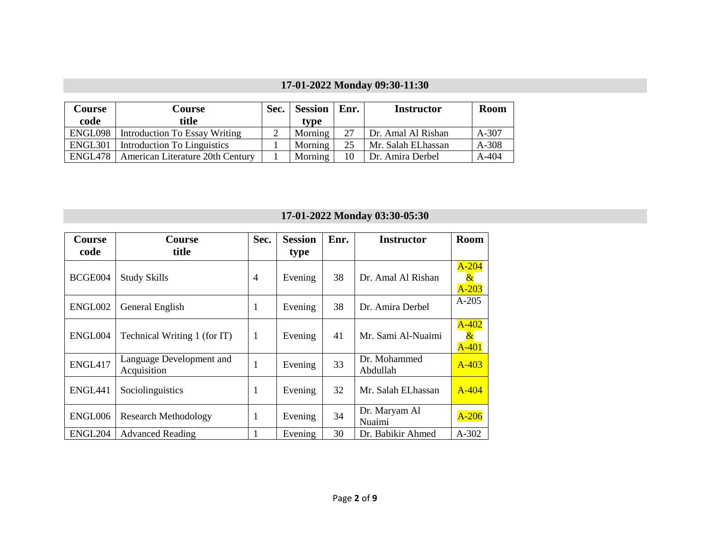## **17-01-2022 Monday 09:30-11:30**

| <b>Course</b> | <b>Course</b>                    | Sec. | <b>Session</b> | $\vert$ Enr. | <b>Instructor</b>  | <b>Room</b> |
|---------------|----------------------------------|------|----------------|--------------|--------------------|-------------|
| code          | title                            |      | type           |              |                    |             |
| ENGL098       | Introduction To Essay Writing    |      | Morning        | 27           | Dr. Amal Al Rishan | $A-307$     |
| ENGL301       | Introduction To Linguistics      |      | Morning        | 25           | Mr. Salah ELhassan | $A-308$     |
| ENGL478       | American Literature 20th Century |      | Morning        | 10           | Dr. Amira Derbel   | A-404       |

## **17-01-2022 Monday 03:30-05:30**

| Course              | <b>Course</b>                           | Sec.           | <b>Session</b> | Enr. | <b>Instructor</b>        | Room                                             |
|---------------------|-----------------------------------------|----------------|----------------|------|--------------------------|--------------------------------------------------|
| code                | title                                   |                | type           |      |                          |                                                  |
| BCGE004             | <b>Study Skills</b>                     | $\overline{4}$ | Evening        | 38   | Dr. Amal Al Rishan       | $A-204$<br>$\boldsymbol{\alpha}$<br>$A-203$      |
| ENGL002             | General English                         | 1              | Evening        | 38   | Dr. Amira Derbel         | $A-205$                                          |
| ENGL004             | Technical Writing 1 (for IT)            | -1             | Evening        | 41   | Mr. Sami Al-Nuaimi       | $A-402$<br>$\boldsymbol{\mathcal{X}}$<br>$A-401$ |
| ENGL417             | Language Development and<br>Acquisition | 1              | Evening        | 33   | Dr. Mohammed<br>Abdullah | $A - 403$                                        |
| ENGL <sub>441</sub> | Sociolinguistics                        | 1              | Evening        | 32   | Mr. Salah ELhassan       | $A-404$                                          |
| ENGL006             | <b>Research Methodology</b>             | 1              | Evening        | 34   | Dr. Maryam Al<br>Nuaimi  | $A-206$                                          |
| ENGL204             | <b>Advanced Reading</b>                 |                | Evening        | 30   | Dr. Babikir Ahmed        | $A-302$                                          |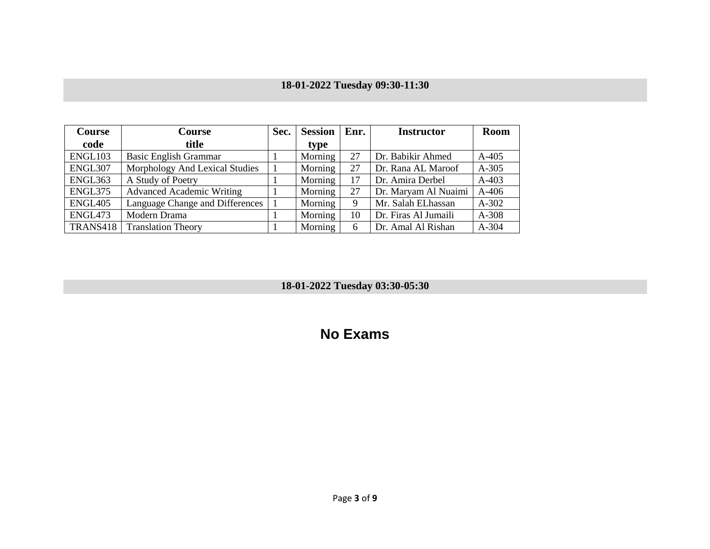## **18-01-2022 Tuesday 09:30-11:30**

| Course         | Course                           | Sec. | <b>Session</b> | Enr. | <b>Instructor</b>    | <b>Room</b> |
|----------------|----------------------------------|------|----------------|------|----------------------|-------------|
| code           | title                            |      | type           |      |                      |             |
| ENGL103        | <b>Basic English Grammar</b>     |      | Morning        | 27   | Dr. Babikir Ahmed    | $A-405$     |
| ENGL307        | Morphology And Lexical Studies   |      | Morning        | 27   | Dr. Rana AL Maroof   | $A-305$     |
| ENGL363        | A Study of Poetry                |      | Morning        | 17   | Dr. Amira Derbel     | $A-403$     |
| ENGL375        | <b>Advanced Academic Writing</b> |      | Morning        | 27   | Dr. Maryam Al Nuaimi | $A-406$     |
| <b>ENGL405</b> | Language Change and Differences  |      | Morning        | 9    | Mr. Salah ELhassan   | $A-302$     |
| ENGL473        | Modern Drama                     |      | Morning        | 10   | Dr. Firas Al Jumaili | A-308       |
| TRANS418       | <b>Translation Theory</b>        |      | Morning        | 6    | Dr. Amal Al Rishan   | $A-304$     |

**18-01-2022 Tuesday 03:30-05:30**

# **No Exams**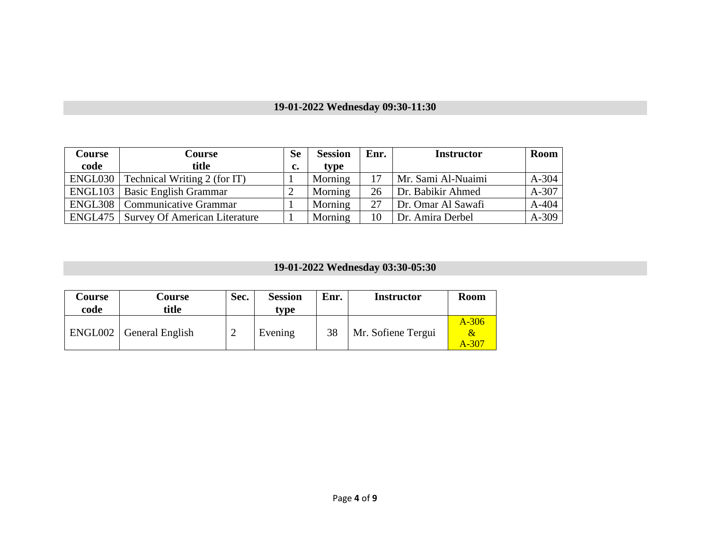## **19-01-2022 Wednesday 09:30-11:30**

| Course | Course                                       | <b>Se</b> | <b>Session</b> | Enr. | <b>Instructor</b>  | Room    |
|--------|----------------------------------------------|-----------|----------------|------|--------------------|---------|
| code   | title                                        | c.        | type           |      |                    |         |
|        | ENGL030   Technical Writing 2 (for IT)       |           | Morning        |      | Mr. Sami Al-Nuaimi | $A-304$ |
|        | <b>ENGL103</b>   Basic English Grammar       |           | Morning        | 26   | Dr. Babikir Ahmed  | A-307   |
|        | <b>ENGL308</b>   Communicative Grammar       |           | Morning        | 27   | Dr. Omar Al Sawafi | $A-404$ |
|        | <b>ENGL475</b> Survey Of American Literature |           | Morning        | 10   | Dr. Amira Derbel   | A-309   |

## **19-01-2022 Wednesday 03:30-05:30**

| Course<br>code | Course<br>title           | Sec. | <b>Session</b><br>tvpe | Enr. | <b>Instructor</b>  | <b>Room</b>                                 |
|----------------|---------------------------|------|------------------------|------|--------------------|---------------------------------------------|
|                | ENGL002   General English |      | Evening                | 38   | Mr. Sofiene Tergui | $A-306$<br>$\boldsymbol{\alpha}$<br>$A-307$ |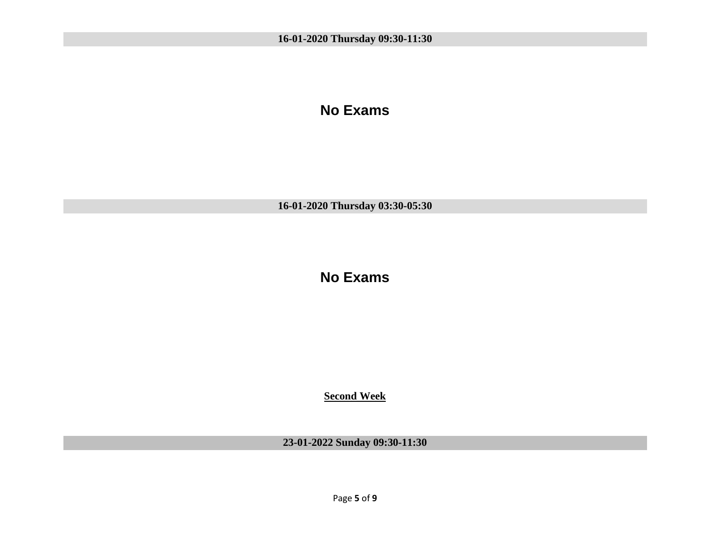### **No Exams**

**16-01-2020 Thursday 03:30-05:30**

**No Exams**

**Second Week**

**23-01-2022 Sunday 09:30-11:30**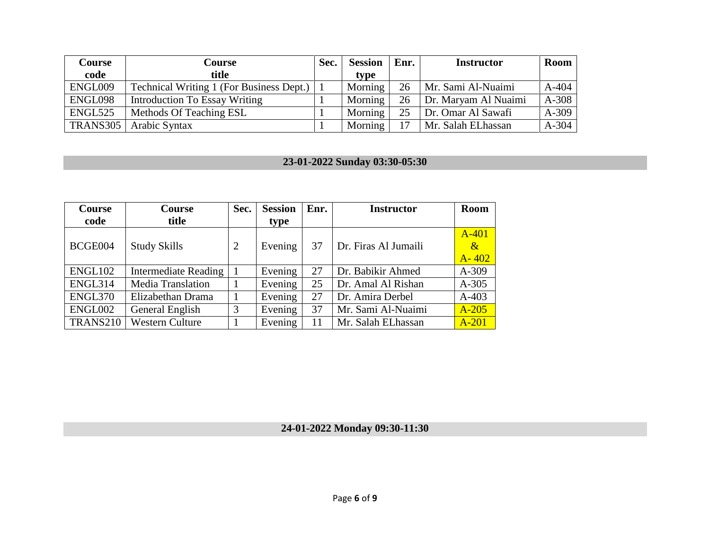| <b>Course</b>   | Course                                       | Sec. | <b>Session</b> | $\mathbf{Enr.}$ | <b>Instructor</b>    | Room    |
|-----------------|----------------------------------------------|------|----------------|-----------------|----------------------|---------|
| code            | title                                        |      | type           |                 |                      |         |
| ENGL009         | Technical Writing 1 (For Business Dept.)   1 |      | Morning        | 26              | Mr. Sami Al-Nuaimi   | $A-404$ |
| ENGL098         | <b>Introduction To Essay Writing</b>         |      | Morning        | 26              | Dr. Maryam Al Nuaimi | A-308   |
| ENGL525         | Methods Of Teaching ESL                      |      | Morning        | 25              | Dr. Omar Al Sawafi   | A-309   |
| <b>TRANS305</b> | Arabic Syntax                                |      | Morning        | 17              | Mr. Salah ELhassan   | A-304   |

### **23-01-2022 Sunday 03:30-05:30**

| <b>Course</b> | <b>Course</b>               | Sec. | <b>Session</b> | Enr. | <b>Instructor</b>    | <b>Room</b> |
|---------------|-----------------------------|------|----------------|------|----------------------|-------------|
| code          | title                       |      | type           |      |                      |             |
|               |                             |      |                |      |                      | $A-401$     |
| BCGE004       | <b>Study Skills</b>         | 2    | Evening        | 37   | Dr. Firas Al Jumaili | $\alpha$    |
|               |                             |      |                |      |                      | $A - 402$   |
| ENGL102       | <b>Intermediate Reading</b> |      | Evening        | 27   | Dr. Babikir Ahmed    | $A-309$     |
| ENGL314       | <b>Media Translation</b>    |      | Evening        | 25   | Dr. Amal Al Rishan   | $A-305$     |
| ENGL370       | Elizabethan Drama           |      | Evening        | 27   | Dr. Amira Derbel     | $A-403$     |
| ENGL002       | General English             | 3    | Evening        | 37   | Mr. Sami Al-Nuaimi   | $A-205$     |
| TRANS210      | <b>Western Culture</b>      |      | Evening        | 11   | Mr. Salah ELhassan   | $A-201$     |

**24-01-2022 Monday 09:30-11:30**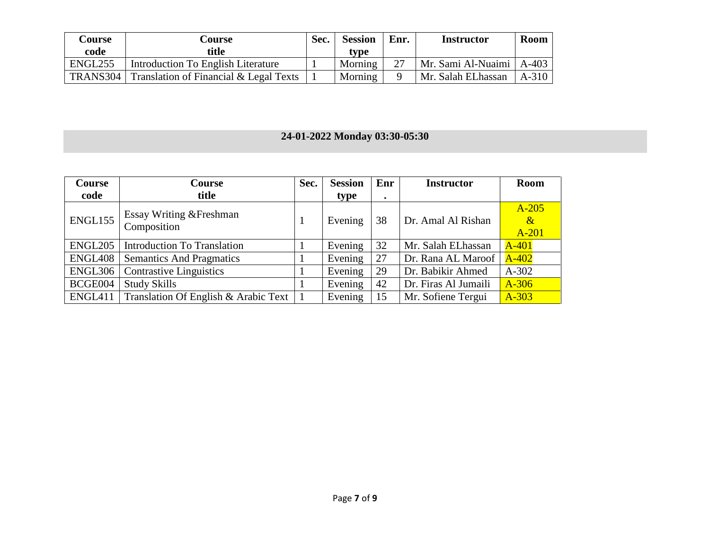| Course   | Course                                 | Sec. | <b>Session</b> | Enr. | <b>Instructor</b>  | Room    |
|----------|----------------------------------------|------|----------------|------|--------------------|---------|
| code     | title                                  |      | type           |      |                    |         |
| ENGL255  | Introduction To English Literature     |      | Morning        |      | Mr. Sami Al-Nuaimi | $A-403$ |
| TRANS304 | Translation of Financial & Legal Texts |      | Morning        |      | Mr. Salah ELhassan | $A-310$ |

### **24-01-2022 Monday 03:30-05:30**

| <b>Course</b>       | Course                                  | Sec. | <b>Session</b> | Enr       | <b>Instructor</b>    | <b>Room</b>                       |
|---------------------|-----------------------------------------|------|----------------|-----------|----------------------|-----------------------------------|
| code                | title                                   |      | type           | $\bullet$ |                      |                                   |
| ENGL155             | Essay Writing & Freshman<br>Composition |      | Evening        | 38        | Dr. Amal Al Rishan   | $A-205$<br>$\mathcal{X}$<br>A-201 |
| ENGL <sub>205</sub> | <b>Introduction To Translation</b>      |      | Evening        | 32        | Mr. Salah ELhassan   | $A-401$                           |
| ENGL408             | <b>Semantics And Pragmatics</b>         |      | Evening        | 27        | Dr. Rana AL Maroof   | $A-402$                           |
| ENGL306             | <b>Contrastive Linguistics</b>          |      | Evening        | 29        | Dr. Babikir Ahmed    | $A-302$                           |
| BCGE004             | <b>Study Skills</b>                     |      | Evening        | 42        | Dr. Firas Al Jumaili | $A-306$                           |
| ENGL411             | Translation Of English & Arabic Text    |      | Evening        | 15        | Mr. Sofiene Tergui   | $A-303$                           |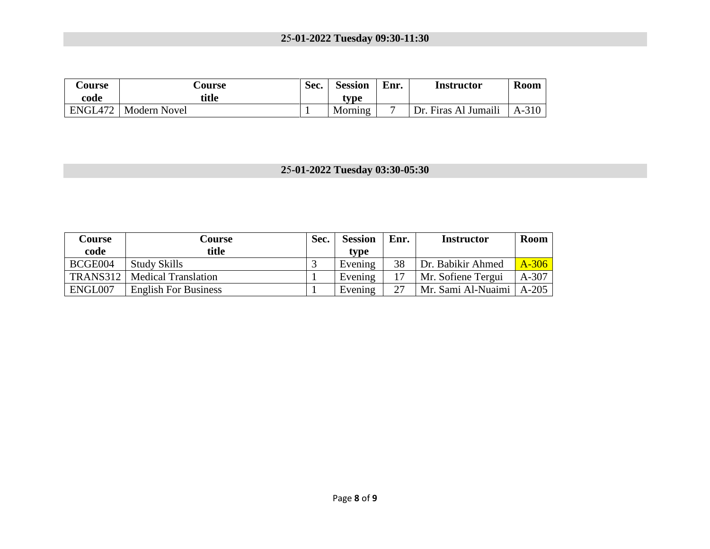### **2**5**-01-2022 Tuesday 09:30-11:30**

| <b>Course</b><br>code | <b>Course</b><br>title | Sec. | <b>Session</b><br>tvpe | Enr. | Instructor             | Room    |
|-----------------------|------------------------|------|------------------------|------|------------------------|---------|
| ENGL472               | Modern Novel           |      | Morning                |      | Firas Al Jumaili<br>Dr | $A-310$ |

## **2**5**-01-2022 Tuesday 03:30-05:30**

| Course  | <b>Course</b>                  | Sec. | <b>Session</b> | Enr. | <b>Instructor</b>          | Room    |
|---------|--------------------------------|------|----------------|------|----------------------------|---------|
| code    | title                          |      | type           |      |                            |         |
| BCGE004 | <b>Study Skills</b>            |      | Evening        | 38   | Dr. Babikir Ahmed          | $A-306$ |
|         | TRANS312   Medical Translation |      | Evening        |      | Mr. Sofiene Tergui         | $A-307$ |
| ENGL007 | <b>English For Business</b>    |      | Evening        | 27   | Mr. Sami Al-Nuaimi   A-205 |         |